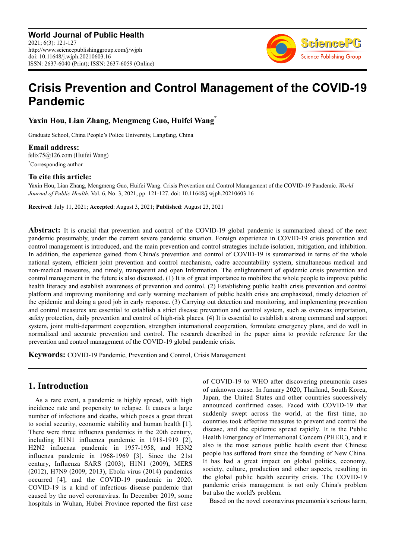

# **Crisis Prevention and Control Management of the COVID-19 Pandemic**

**Yaxin Hou, Lian Zhang, Mengmeng Guo, Huifei Wang\***

Graduate School, China People's Police University, Langfang, China

**Email address:**<br>felix75@126.com (Huifei Wang) \*Corresponding author

### **To cite this article:**

Yaxin Hou, Lian Zhang, Mengmeng Guo, Huifei Wang. Crisis Prevention and Control Management of the COVID-19 Pandemic. *World Journal of Public Health*. Vol. 6, No. 3, 2021, pp. 121-127. doi: 10.11648/j.wjph.20210603.16

**Received**: July 11, 2021; **Accepted**: August 3, 2021; **Published**: August 23, 2021

**Abstract:** It is crucial that prevention and control of the COVID-19 global pandemic is summarized ahead of the next pandemic presumably, under the current severe pandemic situation. Foreign experience in COVID-19 crisis prevention and control management is introduced, and the main prevention and control strategies include isolation, mitigation, and inhibition. In addition, the experience gained from China's prevention and control of COVID-19 is summarized in terms of the whole national system, efficient joint prevention and control mechanism, cadre accountability system, simultaneous medical and non-medical measures, and timely, transparent and open Information. The enlightenment of epidemic crisis prevention and control management in the future is also discussed. (1) It is of great importance to mobilize the whole people to improve public health literacy and establish awareness of prevention and control. (2) Establishing public health crisis prevention and control platform and improving monitoring and early warning mechanism of public health crisis are emphasized, timely detection of the epidemic and doing a good job in early response. (3) Carrying out detection and monitoring, and implementing prevention and control measures are essential to establish a strict disease prevention and control system, such as overseas importation, safety protection, daily prevention and control of high-risk places. (4) It is essential to establish a strong command and support system, joint multi-department cooperation, strengthen international cooperation, formulate emergency plans, and do well in normalized and accurate prevention and control. The research described in the paper aims to provide reference for the prevention and control management of the COVID-19 global pandemic crisis.

**Keywords:** COVID-19 Pandemic, Prevention and Control, Crisis Management

### **1. Introduction**

As a rare event, a pandemic is highly spread, with high incidence rate and propensity to relapse. It causes a large number of infections and deaths, which poses a great threat to social security, economic stability and human health [1]. There were three influenza pandemics in the 20th century, including H1N1 influenza pandemic in 1918-1919 [2], H2N2 influenza pandemic in 1957-1958, and H3N2 influenza pandemic in 1968-1969 [3]. Since the 21st century, Influenza SARS (2003), H1N1 (2009), MERS (2012), H7N9 (2009, 2013), Ebola virus (2014) pandemics occurred [4], and the COVID-19 pandemic in 2020. COVID-19 is a kind of infectious disease pandemic that caused by the novel coronavirus. In December 2019, some hospitals in Wuhan, Hubei Province reported the first case of COVID-19 to WHO after discovering pneumonia cases of unknown cause. In January 2020, Thailand, South Korea, Japan, the United States and other countries successively announced confirmed cases. Faced with COVID-19 that suddenly swept across the world, at the first time, no countries took effective measures to prevent and control the disease, and the epidemic spread rapidly. It is the Public Health Emergency of International Concern (PHEIC), and it also is the most serious public health event that Chinese people has suffered from since the founding of New China. It has had a great impact on global politics, economy, society, culture, production and other aspects, resulting in the global public health security crisis. The COVID-19 pandemic crisis management is not only China's problem but also the world's problem.

Based on the novel coronavirus pneumonia's serious harm,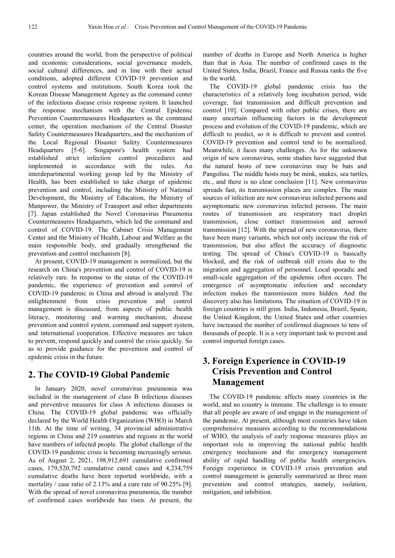countries around the world, from the perspective of political and economic considerations, social governance models, social cultural differences, and in line with their actual conditions, adopted different COVID-19 prevention and control systems and institutions. South Korea took the Korean Disease Management Agency as the command center of the infectious disease crisis response system. It launched the response mechanism with the Central Epidemic Prevention Countermeasures Headquarters as the command center, the operation mechanism of the Central Disaster Safety Countermeasures Headquarters, and the mechanism of the Local Regional Disaster Safety Countermeasures Headquarters [5-6]. Singapore's health system had established strict infection control procedures and implemented in accordance with the rules. An interdepartmental working group led by the Ministry of Health, has been established to take charge of epidemic prevention and control, including the Ministry of National Development, the Ministry of Education, the Ministry of Manpower, the Ministry of Transport and other departments [7]. Japan established the Novel Coronavirus Pneumonia Countermeasures Headquarters, which led the command and control of COVID-19. The Cabinet Crisis Management Center and the Ministry of Health, Labour and Welfare as the main responsible body, and gradually strengthened the prevention and control mechanism [8].

At present, COVID-19 management is normalized, but the research on China's prevention and control of COVID-19 is relatively rare. In response to the status of the COVID-19 pandemic, the experience of prevention and control of COVID-19 pandemic in China and abroad is analyzed. The enlightenment from crisis prevention and control management is discussed, from aspects of public health literacy, monitoring and warning mechanism, disease prevention and control system, command and support system, and international cooperation. Effective measures are taken to prevent, respond quickly and control the crisis quickly. So as to provide guidance for the prevention and control of epidemic crisis in the future.

### **2. The COVID-19 Global Pandemic**

In January 2020, novel coronavirus pneumonia was included in the management of class B infectious diseases and preventive measures for class A infectious diseases in China. The COVID-19 global pandemic was officially declared by the World Health Organization (WHO) in March 11th. At the time of writing, 34 provincial administrative regions in China and 219 countries and regions in the world have numbers of infected people. The global challenge of the COVID-19 pandemic crisis is becoming increasingly serious. As of August 2, 2021, 198,912,691 cumulative confirmed cases, 179,520,792 cumulative cured cases and 4,234,759 cumulative deaths have been reported worldwide, with a mortality / case ratio of 2.13% and a cure rate of 90.25% [9]. With the spread of novel coronavirus pneumonia, the number of confirmed cases worldwide has risen. At present, the

number of deaths in Europe and North America is higher than that in Asia. The number of confirmed cases in the United States, India, Brazil, France and Russia ranks the five in the world.

The COVID-19 global pandemic crisis has the characteristics of a relatively long incubation period, wide coverage, fast transmission and difficult prevention and control [10]. Compared with other public crises, there are many uncertain influencing factors in the development process and evolution of the COVID-19 pandemic, which are difficult to predict, so it is difficult to prevent and control. COVID-19 prevention and control tend to be normalized. Meanwhile, it faces many challenges. As for the unknown origin of new coronavirus, some studies have suggested that the natural hosts of new coronavirus may be bats and Pangolins. The middle hosts may be mink, snakes, sea turtles, etc., and there is no clear conclusion [11]. New coronavirus spreads fast, its transmission places are complex. The main sources of infection are new coronavirus infected persons and asymptomatic new coronavirus infected persons. The main routes of transmission are respiratory tract droplet transmission, close contact transmission and aerosol transmission [12]. With the spread of new coronavirus, there have been many variants, which not only increase the risk of transmission, but also affect the accuracy of diagnostic testing. The spread of China's COVID-19 is basically blocked, and the risk of outbreak still exists due to the migration and aggregation of personnel. Local sporadic and small-scale aggregation of the epidemic often occurs. The emergence of asymptomatic infection and secondary infection makes the transmission more hidden. And the discovery also has limitations. The situation of COVID-19 in foreign countries is still grim. India, Indonesia, Brazil, Spain, the United Kingdom, the United States and other countries have increased the number of confirmed diagnoses to tens of thousands of people. It is a very important task to prevent and control imported foreign cases.

## **3. Foreign Experience in COVID-19 Crisis Prevention and Control Management**

The COVID-19 pandemic affects many countries in the world, and no country is immune. The challenge is to ensure that all people are aware of and engage in the management of the pandemic. At present, although most countries have taken comprehensive measures according to the recommendations of WHO, the analysis of early response measures plays an important role in improving the national public health emergency mechanism and the emergency management ability of rapid handling of public health emergencies. Foreign experience in COVID-19 crisis prevention and control management is generally summarized as three main prevention and control strategies, namely, isolation, mitigation, and inhibition.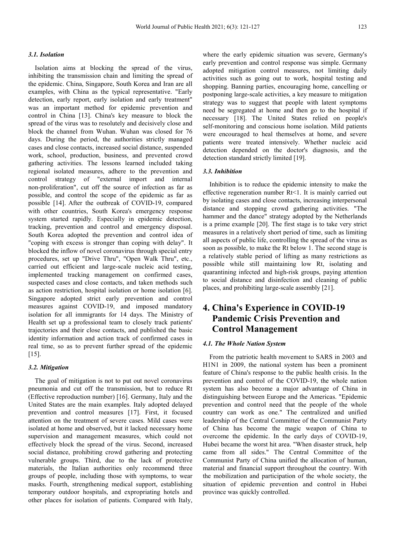#### *3.1. Isolation*

Isolation aims at blocking the spread of the virus, inhibiting the transmission chain and limiting the spread of the epidemic. China, Singapore, South Korea and Iran are all examples, with China as the typical representative. "Early detection, early report, early isolation and early treatment" was an important method for epidemic prevention and control in China [13]. China's key measure to block the spread of the virus was to resolutely and decisively close and block the channel from Wuhan. Wuhan was closed for 76 days. During the period, the authorities strictly managed cases and close contacts, increased social distance, suspended work, school, production, business, and prevented crowd gathering activities. The lessons learned included taking regional isolated measures, adhere to the prevention and control strategy of "external import and internal non-proliferation", cut off the source of infection as far as possible, and control the scope of the epidemic as far as possible [14]. After the outbreak of COVID-19, compared with other countries, South Korea's emergency response system started rapidly. Especially in epidemic detection, tracking, prevention and control and emergency disposal. South Korea adopted the prevention and control idea of "coping with excess is stronger than coping with delay". It blocked the inflow of novel coronavirus through special entry procedures, set up "Drive Thru", "Open Walk Thru", etc., carried out efficient and large-scale nucleic acid testing, implemented tracking management on confirmed cases, suspected cases and close contacts, and taken methods such as action restriction, hospital isolation or home isolation [6]. Singapore adopted strict early prevention and control measures against COVID-19, and imposed mandatory isolation for all immigrants for 14 days. The Ministry of Health set up a professional team to closely track patients' trajectories and their close contacts, and published the basic identity information and action track of confirmed cases in real time, so as to prevent further spread of the epidemic  $[15]$ .

#### *3.2. Mitigation*

The goal of mitigation is not to put out novel coronavirus pneumonia and cut off the transmission, but to reduce Rt (Effective reproduction number) [16]. Germany, Italy and the United States are the main examples. Italy adopted delayed prevention and control measures [17]. First, it focused attention on the treatment of severe cases. Mild cases were isolated at home and observed, but it lacked necessary home supervision and management measures, which could not effectively block the spread of the virus. Second, increased social distance, prohibiting crowd gathering and protecting vulnerable groups. Third, due to the lack of protective materials, the Italian authorities only recommend three groups of people, including those with symptoms, to wear masks. Fourth, strengthening medical support, establishing temporary outdoor hospitals, and expropriating hotels and other places for isolation of patients. Compared with Italy, where the early epidemic situation was severe, Germany's early prevention and control response was simple. Germany adopted mitigation control measures, not limiting daily activities such as going out to work, hospital testing and shopping. Banning parties, encouraging home, cancelling or postponing large-scale activities, a key measure to mitigation strategy was to suggest that people with latent symptoms need be segregated at home and then go to the hospital if necessary [18]. The United States relied on people's self-monitoring and conscious home isolation. Mild patients were encouraged to heal themselves at home, and severe patients were treated intensively. Whether nucleic acid detection depended on the doctor's diagnosis, and the detection standard strictly limited [19].

#### *3.3. Inhibition*

Inhibition is to reduce the epidemic intensity to make the effective regeneration number Rt<1. It is mainly carried out by isolating cases and close contacts, increasing interpersonal distance and stopping crowd gathering activities. "The hammer and the dance" strategy adopted by the Netherlands is a prime example [20]. The first stage is to take very strict measures in a relatively short period of time, such as limiting all aspects of public life, controlling the spread of the virus as soon as possible, to make the Rt below 1. The second stage is a relatively stable period of lifting as many restrictions as possible while still maintaining low Rt, isolating and quarantining infected and high-risk groups, paying attention to social distance and disinfection and cleaning of public places, and prohibiting large-scale assembly [21].

## **4. China's Experience in COVID-19 Pandemic Crisis Prevention and Control Management**

#### *4.1. The Whole Nation System*

From the patriotic health movement to SARS in 2003 and H1N1 in 2009, the national system has been a prominent feature of China's response to the public health crisis. In the prevention and control of the COVID-19, the whole nation system has also become a major advantage of China in distinguishing between Europe and the Americas. "Epidemic prevention and control need that the people of the whole country can work as one." The centralized and unified leadership of the Central Committee of the Communist Party of China has become the magic weapon of China to overcome the epidemic. In the early days of COVID-19, Hubei became the worst hit area. "When disaster struck, help came from all sides." The Central Committee of the Communist Party of China unified the allocation of human, material and financial support throughout the country. With the mobilization and participation of the whole society, the situation of epidemic prevention and control in Hubei province was quickly controlled.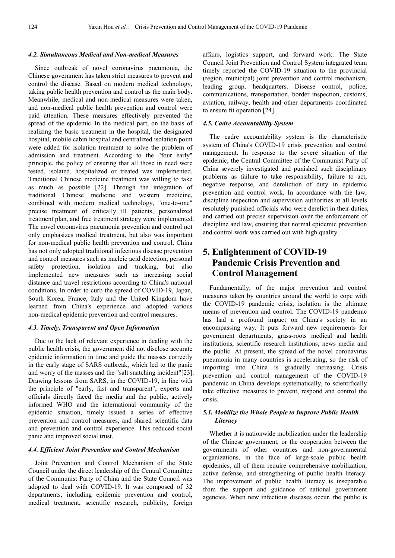### *4.2. Simultaneous Medical and Non-medical Measures*

Since outbreak of novel coronavirus pneumonia, the Chinese government has taken strict measures to prevent and control the disease. Based on modern medical technology, taking public health prevention and control as the main body. Meanwhile, medical and non-medical measures were taken, and non-medical public health prevention and control were paid attention. These measures effectively prevented the spread of the epidemic. In the medical part, on the basis of realizing the basic treatment in the hospital, the designated hospital, mobile cabin hospital and centralized isolation point were added for isolation treatment to solve the problem of admission and treatment. According to the "four early" principle, the policy of ensuring that all those in need were tested, isolated, hospitalized or treated was implemented. Traditional Chinese medicine treatment was willing to take as much as possible [22]. Through the integration of traditional Chinese medicine and western medicine, combined with modern medical technology, "one-to-one" precise treatment of critically ill patients, personalized treatment plan, and free treatment strategy were implemented. The novel coronavirus pneumonia prevention and control not only emphasizes medical treatment, but also was important for non-medical public health prevention and control. China has not only adopted traditional infectious disease prevention and control measures such as nucleic acid detection, personal safety protection, isolation and tracking, but also implemented new measures such as increasing social distance and travel restrictions according to China's national conditions. In order to curb the spread of COVID-19, Japan, South Korea, France, Italy and the United Kingdom have learned from China's experience and adopted various non-medical epidemic prevention and control measures.

#### *4.3. Timely, Transparent and Open Information*

Due to the lack of relevant experience in dealing with the public health crisis, the government did not disclose accurate epidemic information in time and guide the masses correctly in the early stage of SARS outbreak, which led to the panic and worry of the masses and the "salt snatching incident"[23]. Drawing lessons from SARS, in the COVID-19, in line with the principle of "early, fast and transparent", experts and officials directly faced the media and the public, actively informed WHO and the international community of the epidemic situation, timely issued a series of effective prevention and control measures, and shared scientific data and prevention and control experience. This reduced social panic and improved social trust.

#### *4.4. Efficient Joint Prevention and Control Mechanism*

Joint Prevention and Control Mechanism of the State Council under the direct leadership of the Central Committee of the Communist Party of China and the State Council was adopted to deal with COVID-19. It was composed of 32 departments, including epidemic prevention and control, medical treatment, scientific research, publicity, foreign

affairs, logistics support, and forward work. The State Council Joint Prevention and Control System integrated team timely reported the COVID-19 situation to the provincial (region, municipal) joint prevention and control mechanism, leading group, headquarters. Disease control, police, communications, transportation, border inspection, customs, aviation, railway, health and other departments coordinated to ensure fit operation [24].

#### *4.5. Cadre Accountability System*

The cadre accountability system is the characteristic system of China's COVID-19 crisis prevention and control management. In response to the severe situation of the epidemic, the Central Committee of the Communist Party of China severely investigated and punished such disciplinary problems as failure to take responsibility, failure to act, negative response, and dereliction of duty in epidemic prevention and control work. In accordance with the law, discipline inspection and supervision authorities at all levels resolutely punished officials who were derelict in their duties, and carried out precise supervision over the enforcement of discipline and law, ensuring that normal epidemic prevention and control work was carried out with high quality.

## **5. Enlightenment of COVID-19 Pandemic Crisis Prevention and Control Management**

Fundamentally, of the major prevention and control measures taken by countries around the world to cope with the COVID-19 pandemic crisis, isolation is the ultimate means of prevention and control. The COVID-19 pandemic has had a profound impact on China's society in an encompassing way. It puts forward new requirements for government departments, grass-roots medical and health institutions, scientific research institutions, news media and the public. At present, the spread of the novel coronavirus pneumonia in many countries is accelerating, so the risk of importing into China is gradually increasing. Crisis prevention and control management of the COVID-19 pandemic in China develops systematically, to scientifically take effective measures to prevent, respond and control the crisis.

#### *5.1. Mobilize the Whole People to Improve Public Health Literacy*

Whether it is nationwide mobilization under the leadership of the Chinese government, or the cooperation between the governments of other countries and non-governmental organizations, in the face of large-scale public health epidemics, all of them require comprehensive mobilization, active defense, and strengthening of public health literacy. The improvement of public health literacy is inseparable from the support and guidance of national government agencies. When new infectious diseases occur, the public is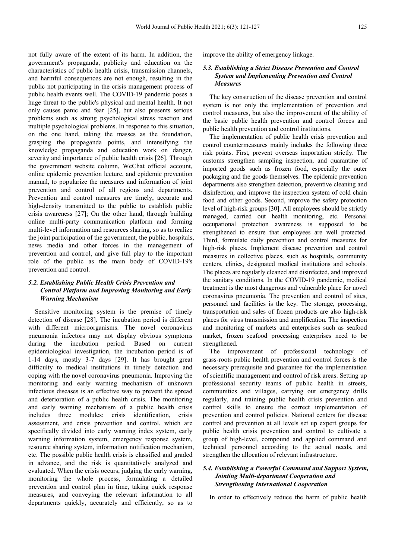not fully aware of the extent of its harm. In addition, the government's propaganda, publicity and education on the characteristics of public health crisis, transmission channels, and harmful consequences are not enough, resulting in the public not participating in the crisis management process of public health events well. The COVID-19 pandemic poses a huge threat to the public's physical and mental health. It not only causes panic and fear [25], but also presents serious problems such as strong psychological stress reaction and multiple psychological problems. In response to this situation, on the one hand, taking the masses as the foundation, grasping the propaganda points, and intensifying the knowledge propaganda and education work on danger, severity and importance of public health crisis [26]. Through the government website column, WeChat official account, online epidemic prevention lecture, and epidemic prevention manual, to popularize the measures and information of joint prevention and control of all regions and departments. Prevention and control measures are timely, accurate and high-density transmitted to the public to establish public crisis awareness [27]; On the other hand, through building online multi-party communication platform and forming multi-level information and resources sharing, so as to realize the joint participation of the government, the public, hospitals, news media and other forces in the management of prevention and control, and give full play to the important role of the public as the main body of COVID-19's prevention and control.

#### *5.2. Establishing Public Health Crisis Prevention and Control Platform and Improving Monitoring and Early Warning Mechanism*

Sensitive monitoring system is the premise of timely detection of disease [28]. The incubation period is different with different microorganisms. The novel coronavirus pneumonia infectors may not display obvious symptoms during the incubation period. Based on current epidemiological investigation, the incubation period is of 1-14 days, mostly 3-7 days [29]. It has brought great difficulty to medical institutions in timely detection and coping with the novel coronavirus pneumonia. Improving the monitoring and early warning mechanism of unknown infectious diseases is an effective way to prevent the spread and deterioration of a public health crisis. The monitoring and early warning mechanism of a public health crisis includes three modules: crisis identification, crisis assessment, and crisis prevention and control, which are specifically divided into early warning index system, early warning information system, emergency response system, resource sharing system, information notification mechanism, etc. The possible public health crisis is classified and graded in advance, and the risk is quantitatively analyzed and evaluated. When the crisis occurs, judging the early warning, monitoring the whole process, formulating a detailed prevention and control plan in time, taking quick response measures, and conveying the relevant information to all departments quickly, accurately and efficiently, so as to

improve the ability of emergency linkage.

#### *5.3. Establishing a Strict Disease Prevention and Control System and Implementing Prevention and Control Measures*

The key construction of the disease prevention and control system is not only the implementation of prevention and control measures, but also the improvement of the ability of the basic public health prevention and control forces and public health prevention and control institutions.

The implementation of public health crisis prevention and control countermeasures mainly includes the following three risk points. First, prevent overseas importation strictly. The customs strengthen sampling inspection, and quarantine of imported goods such as frozen food, especially the outer packaging and the goods themselves. The epidemic prevention departments also strengthen detection, preventive cleaning and disinfection, and improve the inspection system of cold chain food and other goods. Second, improve the safety protection level of high-risk groups [30]. All employees should be strictly managed, carried out health monitoring, etc. Personal occupational protection awareness is supposed to be strengthened to ensure that employees are well protected. Third, formulate daily prevention and control measures for high-risk places. Implement disease prevention and control measures in collective places, such as hospitals, community centers, clinics, designated medical institutions and schools. The places are regularly cleaned and disinfected, and improved the sanitary conditions. In the COVID-19 pandemic, medical treatment is the most dangerous and vulnerable place for novel coronavirus pneumonia. The prevention and control of sites, personnel and facilities is the key. The storage, processing, transportation and sales of frozen products are also high-risk places for virus transmission and amplification. The inspection and monitoring of markets and enterprises such as seafood market, frozen seafood processing enterprises need to be strengthened.

The improvement of professional technology of grass-roots public health prevention and control forces is the necessary prerequisite and guarantee for the implementation of scientific management and control of risk areas. Setting up professional security teams of public health in streets, communities and villages, carrying out emergency drills regularly, and training public health crisis prevention and control skills to ensure the correct implementation of prevention and control policies. National centers for disease control and prevention at all levels set up expert groups for public health crisis prevention and control to cultivate a group of high-level, compound and applied command and technical personnel according to the actual needs, and strengthen the allocation of relevant infrastructure.

#### *5.4. Establishing a Powerful Command and Support System, Jointing Multi-department Cooperation and Strengthening International Cooperation*

In order to effectively reduce the harm of public health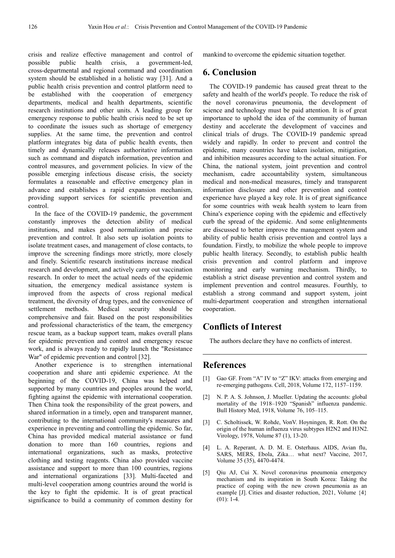crisis and realize effective management and control of possible public health crisis, a government-led, cross-departmental and regional command and coordination system should be established in a holistic way [31]. And a public health crisis prevention and control platform need to be established with the cooperation of emergency departments, medical and health departments, scientific research institutions and other units. A leading group for emergency response to public health crisis need to be set up to coordinate the issues such as shortage of emergency supplies. At the same time, the prevention and control platform integrates big data of public health events, then timely and dynamically releases authoritative information such as command and dispatch information, prevention and control measures, and government policies. In view of the possible emerging infectious disease crisis, the society formulates a reasonable and effective emergency plan in advance and establishes a rapid expansion mechanism, providing support services for scientific prevention and control.

In the face of the COVID-19 pandemic, the government constantly improves the detection ability of medical institutions, and makes good normalization and precise prevention and control. It also sets up isolation points to isolate treatment cases, and management of close contacts, to improve the screening findings more strictly, more closely and finely. Scientific research institutions increase medical research and development, and actively carry out vaccination research. In order to meet the actual needs of the epidemic situation, the emergency medical assistance system is improved from the aspects of cross regional medical treatment, the diversity of drug types, and the convenience of settlement methods. Medical security should be comprehensive and fair. Based on the post responsibilities and professional characteristics of the team, the emergency rescue team, as a backup support team, makes overall plans for epidemic prevention and control and emergency rescue work, and is always ready to rapidly launch the "Resistance War" of epidemic prevention and control [32].

Another experience is to strengthen international cooperation and share anti epidemic experience. At the beginning of the COVID-19, China was helped and supported by many countries and peoples around the world, fighting against the epidemic with international cooperation. Then China took the responsibility of the great powers, and shared information in a timely, open and transparent manner, contributing to the international community's measures and experience in preventing and controlling the epidemic. So far, China has provided medical material assistance or fund donation to more than 160 countries, regions and international organizations, such as masks, protective clothing and testing reagents. China also provided vaccine assistance and support to more than 100 countries, regions and international organizations [33]. Multi-faceted and multi-level cooperation among countries around the world is the key to fight the epidemic. It is of great practical significance to build a community of common destiny for mankind to overcome the epidemic situation together.

### **6. Conclusion**

The COVID-19 pandemic has caused great threat to the safety and health of the world's people. To reduce the risk of the novel coronavirus pneumonia, the development of science and technology must be paid attention. It is of great importance to uphold the idea of the community of human destiny and accelerate the development of vaccines and clinical trials of drugs. The COVID-19 pandemic spread widely and rapidly. In order to prevent and control the epidemic, many countries have taken isolation, mitigation, and inhibition measures according to the actual situation. For China, the national system, joint prevention and control mechanism, cadre accountability system, simultaneous medical and non-medical measures, timely and transparent information disclosure and other prevention and control experience have played a key role. It is of great significance for some countries with weak health system to learn from China's experience coping with the epidemic and effectively curb the spread of the epidemic. And some enlightenments are discussed to better improve the management system and ability of public health crisis prevention and control lays a foundation. Firstly, to mobilize the whole people to improve public health literacy. Secondly, to establish public health crisis prevention and control platform and improve monitoring and early warning mechanism. Thirdly, to establish a strict disease prevention and control system and implement prevention and control measures. Fourthly, to establish a strong command and support system, joint multi-department cooperation and strengthen international cooperation.

### **Conflicts of Interest**

The authors declare they have no conflicts of interest.

### **References**

- [1] Gao GF. From "A" IV to "Z" IKV: attacks from emerging and re-emerging pathogens. Cell, 2018, Volume 172, 1157–1159.
- [2] N. P. A. S. Johnson, J. Mueller. Updating the accounts: global mortality of the 1918–1920 "Spanish" influenza pandemic. Bull History Med, 1918, Volume 76, 105–115.
- [3] C. Scholtissek, W. Rohde, VonV. Hoyningen, R. Rott. On the origin of the human influenza virus subtypes H2N2 and H3N2. Virology, 1978, Volume 87 (1), 13-20.
- [4] L. A. Reperant, A. D. M. E. Osterhaus. AIDS, Avian flu, SARS, MERS, Ebola, Zika… what next? Vaccine, 2017, Volume 35 (35), 4470-4474.
- [5] Qiu AJ, Cui X. Novel coronavirus pneumonia emergency mechanism and its inspiration in South Korea: Taking the practice of coping with the new crown pneumonia as an example [J]. Cities and disaster reduction, 2021, Volume {4}  $(01): 1-4.$